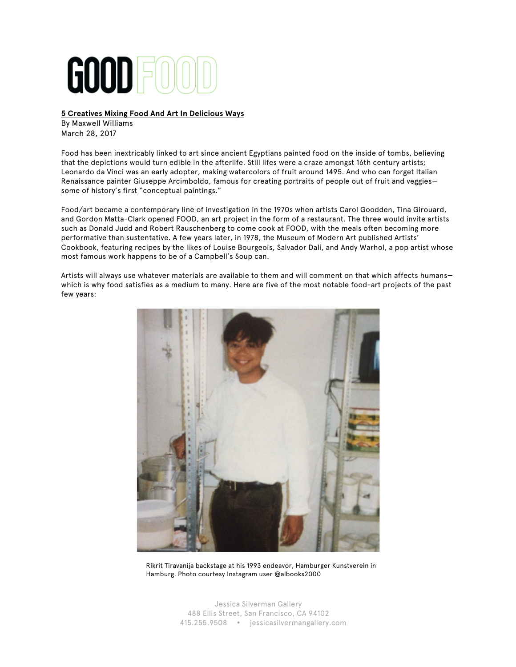# GOOD F

# **5 Creatives Mixing Food And Art In Delicious Ways**

By Maxwell Williams March 28, 2017

Food has been inextricably linked to art since ancient Egyptians painted food on the inside of tombs, believing that the depictions would turn edible in the afterlife. Still lifes were a craze amongst 16th century artists; Leonardo da Vinci was an early adopter, making watercolors of fruit around 1495. And who can forget Italian Renaissance painter Giuseppe Arcimboldo, famous for creating portraits of people out of fruit and veggies some of history's first "conceptual paintings."

Food/art became a contemporary line of investigation in the 1970s when artists Carol Goodden, Tina Girouard, and Gordon Matta-Clark opened FOOD, an art project in the form of a restaurant. The three would invite artists such as Donald Judd and Robert Rauschenberg to come cook at FOOD, with the meals often becoming more performative than sustentative. A few years later, in 1978, the Museum of Modern Art published Artists' Cookbook, featuring recipes by the likes of Louise Bourgeois, Salvador Dalí, and Andy Warhol, a pop artist whose most famous work happens to be of a Campbell's Soup can.

Artists will always use whatever materials are available to them and will comment on that which affects humans which is why food satisfies as a medium to many. Here are five of the most notable food-art projects of the past few years:



Rikrit Tiravanija backstage at his 1993 endeavor, Hamburger Kunstverein in Hamburg. Photo courtesy Instagram user @albooks2000

Jessica Silverman Gallery 488 Ellis Street, San Francisco, CA 94102 415.255.9508 jessicasilvermangallery.com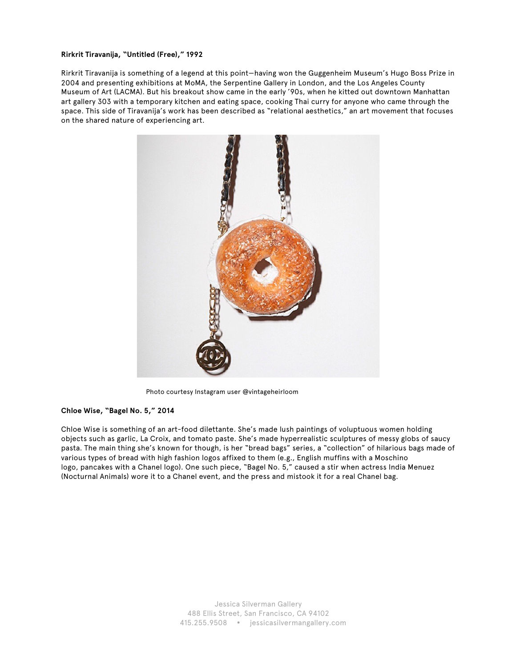#### **Rirkrit Tiravanija, "Untitled (Free)," 1992**

Rirkrit Tiravanija is something of a legend at this point—having won the Guggenheim Museum's Hugo Boss Prize in 2004 and presenting exhibitions at MoMA, the Serpentine Gallery in London, and the Los Angeles County Museum of Art (LACMA). But his breakout show came in the early '90s, when he kitted out downtown Manhattan art gallery 303 with a temporary kitchen and eating space, cooking Thai curry for anyone who came through the space. This side of Tiravanija's work has been described as "relational aesthetics," an art movement that focuses on the shared nature of experiencing art.



Photo courtesy Instagram user @vintageheirloom

#### **Chloe Wise, "Bagel No. 5," 2014**

Chloe Wise is something of an art-food dilettante. She's made lush paintings of voluptuous women holding objects such as garlic, La Croix, and tomato paste. She's made hyperrealistic sculptures of messy globs of saucy pasta. The main thing she's known for though, is her "bread bags" series, a "collection" of hilarious bags made of various types of bread with high fashion logos affixed to them (e.g., English muffins with a Moschino logo, pancakes with a Chanel logo). One such piece, "Bagel No. 5," caused a stir when actress India Menuez (Nocturnal Animals) wore it to a Chanel event, and the press and mistook it for a real Chanel bag.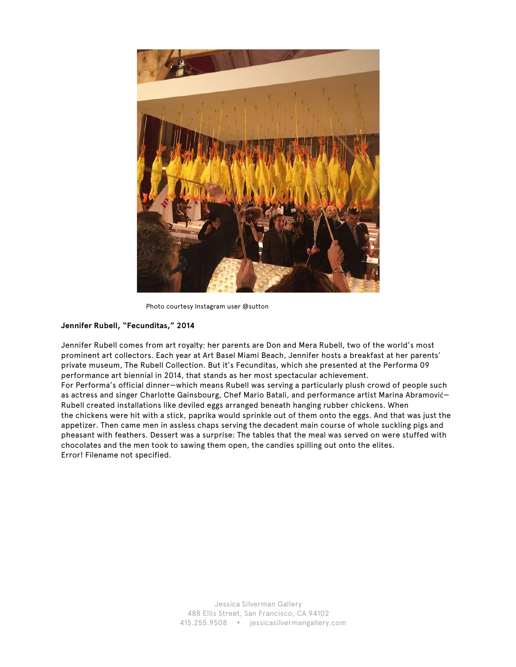

Photo courtesy Instagram user @sutton

# **Jennifer Rubell, "Fecunditas," 2014**

Jennifer Rubell comes from art royalty: her parents are Don and Mera Rubell, two of the world's most prominent art collectors. Each year at Art Basel Miami Beach, Jennifer hosts a breakfast at her parents' private museum, The Rubell Collection. But it's Fecunditas, which she presented at the Performa 09 performance art biennial in 2014, that stands as her most spectacular achievement.

For Performa's official dinner—which means Rubell was serving a particularly plush crowd of people such as actress and singer Charlotte Gainsbourg, Chef Mario Batali, and performance artist Marina Abramović— Rubell created installations like deviled eggs arranged beneath hanging rubber chickens. When the chickens were hit with a stick, paprika would sprinkle out of them onto the eggs. And that was just the appetizer. Then came men in assless chaps serving the decadent main course of whole suckling pigs and pheasant with feathers. Dessert was a surprise: The tables that the meal was served on were stuffed with chocolates and the men took to sawing them open, the candies spilling out onto the elites. Error! Filename not specified.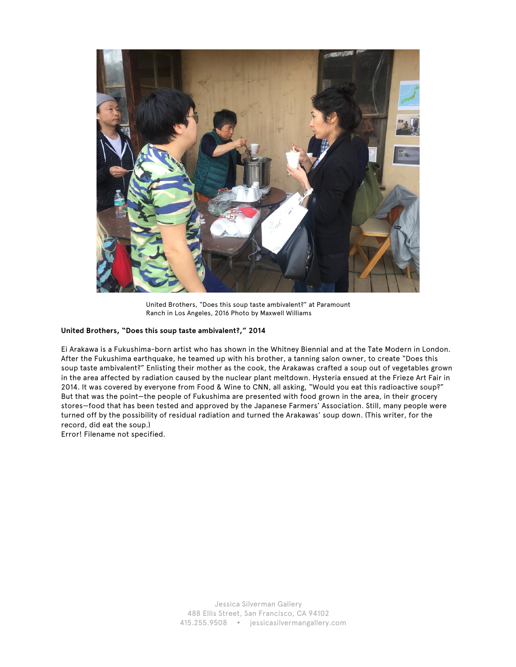

United Brothers, "Does this soup taste ambivalent?" at Paramount Ranch in Los Angeles, 2016 Photo by Maxwell Williams

## **United Brothers, "Does this soup taste ambivalent?," 2014**

Ei Arakawa is a Fukushima-born artist who has shown in the Whitney Biennial and at the Tate Modern in London. After the Fukushima earthquake, he teamed up with his brother, a tanning salon owner, to create "Does this soup taste ambivalent?" Enlisting their mother as the cook, the Arakawas crafted a soup out of vegetables grown in the area affected by radiation caused by the nuclear plant meltdown. Hysteria ensued at the Frieze Art Fair in 2014. It was covered by everyone from Food & Wine to CNN, all asking, "Would you eat this radioactive soup?" But that was the point—the people of Fukushima are presented with food grown in the area, in their grocery stores—food that has been tested and approved by the Japanese Farmers' Association. Still, many people were turned off by the possibility of residual radiation and turned the Arakawas' soup down. (This writer, for the record, did eat the soup.) Error! Filename not specified.

> Jessica Silverman Gallery 488 Ellis Street, San Francisco, CA 94102 415.255.9508 jessicasilvermangallery.com